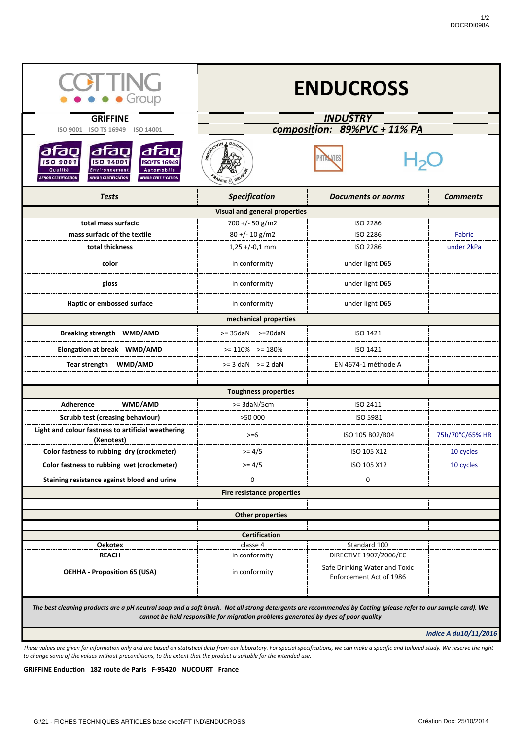| <b>OEHHA - Proposition 65 (USA)</b>                                                                                                                                                                                                                  | in conformity | Safe Drinking Water and Toxic<br>Enforcement Act of 1986 |                       |  |
|------------------------------------------------------------------------------------------------------------------------------------------------------------------------------------------------------------------------------------------------------|---------------|----------------------------------------------------------|-----------------------|--|
|                                                                                                                                                                                                                                                      |               |                                                          |                       |  |
| The best cleaning products are a pH neutral soap and a soft brush. Not all strong detergents are recommended by Cotting (please refer to our sample card). We<br>cannot be held responsible for migration problems generated by dyes of poor quality |               |                                                          |                       |  |
|                                                                                                                                                                                                                                                      |               |                                                          | indice A du10/11/2016 |  |

| <b>COLLING</b><br>$\bullet \bullet \bullet$ Group<br><b>GRIFFINE</b><br><b>ISO TS 16949</b><br><b>ISO 9001</b><br><b>ISO 14001</b>                                                                                       | <b>ENDUCROSS</b><br><b>INDUSTRY</b><br>composition: 89%PVC + 11% PA |                               |                 |  |
|--------------------------------------------------------------------------------------------------------------------------------------------------------------------------------------------------------------------------|---------------------------------------------------------------------|-------------------------------|-----------------|--|
| atao<br>afao<br>lafaol<br><b>ISO 9001</b><br><b>ISO 14001</b><br><b>ISO/TS 16949</b><br>Qualité<br>Automobile<br>Environnement<br><b>AFNOR CERTIFICATION</b><br><b>AFNOR CERTIFICATION</b><br><b>AFNOR CERTIFICATION</b> | Reportion<br>A DESIG<br><b>PRANCE &amp; BELG</b>                    |                               |                 |  |
| <b>Tests</b>                                                                                                                                                                                                             | <b>Specification</b>                                                | <b>Documents or norms</b>     | <b>Comments</b> |  |
| <b>Visual and general properties</b>                                                                                                                                                                                     |                                                                     |                               |                 |  |
| total mass surfacic                                                                                                                                                                                                      | $700 + (-50)$ g/m2                                                  | <b>ISO 2286</b>               |                 |  |
| mass surfacic of the textile                                                                                                                                                                                             | $80 + (-10)$ g/m2                                                   | <b>ISO 2286</b>               | Fabric          |  |
| total thickness                                                                                                                                                                                                          | $1,25 + (-0,1)$ mm                                                  | ISO 2286                      | under 2kPa      |  |
| color                                                                                                                                                                                                                    | in conformity                                                       | under light D65               |                 |  |
| gloss                                                                                                                                                                                                                    | in conformity                                                       | under light D65               |                 |  |
| Haptic or embossed surface                                                                                                                                                                                               | in conformity                                                       | under light D65               |                 |  |
|                                                                                                                                                                                                                          | mechanical properties                                               |                               |                 |  |
| <b>Breaking strength WMD/AMD</b>                                                                                                                                                                                         | $>= 35$ daN $>= 20$ daN                                             | ISO 1421                      |                 |  |
| Elongation at break WMD/AMD                                                                                                                                                                                              | $>= 110\%$ $>= 180\%$                                               | ISO 1421                      |                 |  |
| Tear strength WMD/AMD                                                                                                                                                                                                    | $>= 3$ daN $>= 2$ daN                                               | EN 4674-1 méthode A           |                 |  |
|                                                                                                                                                                                                                          | <b>Toughness properties</b>                                         |                               |                 |  |
| WMD/AMD<br><b>Adherence</b>                                                                                                                                                                                              | $>=$ 3daN/5cm                                                       | ISO 2411                      |                 |  |
| <b>Scrubb test (creasing behaviour)</b>                                                                                                                                                                                  | >50 000                                                             | ISO 5981                      |                 |  |
| Light and colour fastness to artificial weathering<br>(Xenotest)                                                                                                                                                         | $>= 6$                                                              | ISO 105 B02/B04               | 75h/70°C/65% HR |  |
| Color fastness to rubbing dry (crockmeter)                                                                                                                                                                               | $>= 4/5$                                                            | ISO 105 X12                   | 10 cycles       |  |
| Color fastness to rubbing wet (crockmeter)                                                                                                                                                                               | $>= 4/5$                                                            | ISO 105 X12                   | 10 cycles       |  |
| Staining resistance against blood and urine                                                                                                                                                                              | 0                                                                   | 0                             |                 |  |
| <b>Fire resistance properties</b>                                                                                                                                                                                        |                                                                     |                               |                 |  |
|                                                                                                                                                                                                                          |                                                                     |                               |                 |  |
| <b>Other properties</b>                                                                                                                                                                                                  |                                                                     |                               |                 |  |
| <b>Certification</b>                                                                                                                                                                                                     |                                                                     |                               |                 |  |
| <b>Oekotex</b>                                                                                                                                                                                                           | classe 4                                                            | Standard 100                  |                 |  |
| <b>REACH</b>                                                                                                                                                                                                             | in conformity                                                       | <b>DIRECTIVE 1907/2006/EC</b> |                 |  |

## **GRIFFINE Enduction 182 route de Paris F-95420 NUCOURT France**

*These values are given for information only and are based on statistical data from our laboratory. For special specifications, we can make a specific and tailored study. We reserve the right to change some of the values without preconditions, to the extent that the product is suitable for the intended use.*